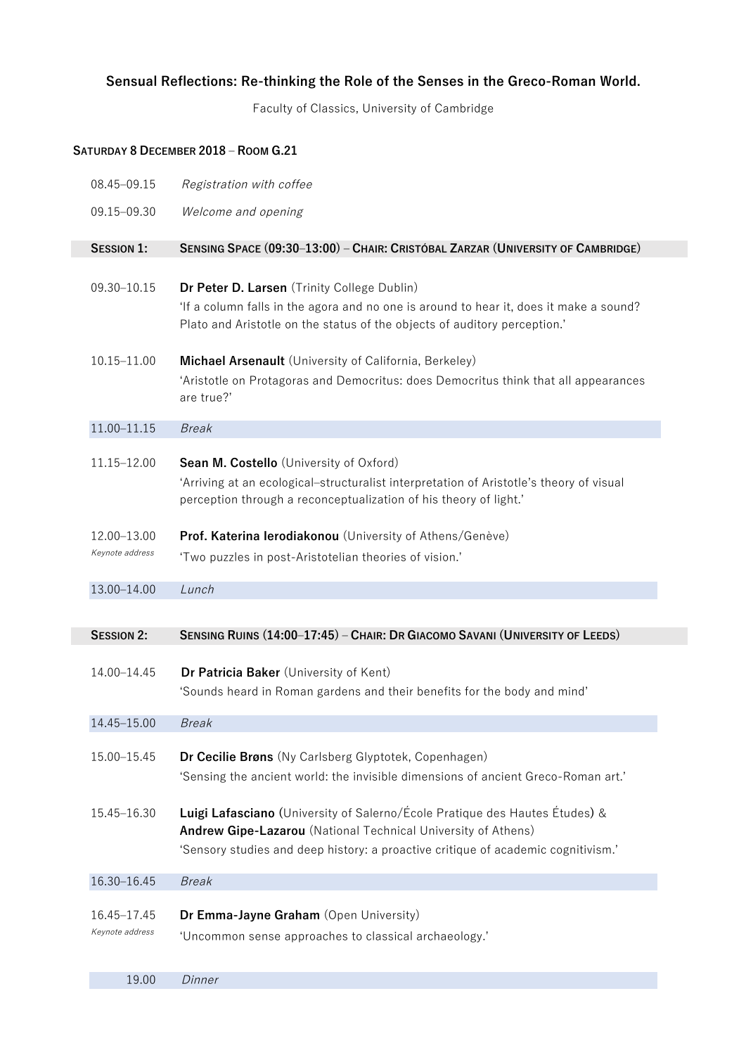## **Sensual Reflections: Re-thinking the Role of the Senses in the Greco-Roman World.**

Faculty of Classics, University of Cambridge

## **SATURDAY 8 DECEMBER 2018 ‒ ROOM G.21**

| 08.45-09.15                             | Registration with coffee                                                                                                                                                                                                          |
|-----------------------------------------|-----------------------------------------------------------------------------------------------------------------------------------------------------------------------------------------------------------------------------------|
| 09.15-09.30                             | Welcome and opening                                                                                                                                                                                                               |
| <b>SESSION 1:</b>                       | SENSING SPACE (09:30-13:00) - CHAIR: CRISTÓBAL ZARZAR (UNIVERSITY OF CAMBRIDGE)                                                                                                                                                   |
| 09.30-10.15                             | Dr Peter D. Larsen (Trinity College Dublin)<br>'If a column falls in the agora and no one is around to hear it, does it make a sound?<br>Plato and Aristotle on the status of the objects of auditory perception.'                |
| 10.15-11.00                             | Michael Arsenault (University of California, Berkeley)<br>'Aristotle on Protagoras and Democritus: does Democritus think that all appearances<br>are true?'                                                                       |
| 11.00-11.15                             | <b>Break</b>                                                                                                                                                                                                                      |
| 11.15-12.00                             | Sean M. Costello (University of Oxford)<br>'Arriving at an ecological-structuralist interpretation of Aristotle's theory of visual<br>perception through a reconceptualization of his theory of light.'                           |
| 12.00-13.00                             | Prof. Katerina lerodiakonou (University of Athens/Genève)                                                                                                                                                                         |
| Keynote address                         | 'Two puzzles in post-Aristotelian theories of vision.'                                                                                                                                                                            |
|                                         |                                                                                                                                                                                                                                   |
|                                         |                                                                                                                                                                                                                                   |
| 13.00-14.00                             | Lunch                                                                                                                                                                                                                             |
|                                         |                                                                                                                                                                                                                                   |
|                                         |                                                                                                                                                                                                                                   |
| <b>SESSION 2:</b>                       | SENSING RUINS (14:00-17:45) - CHAIR: DR GIACOMO SAVANI (UNIVERSITY OF LEEDS)                                                                                                                                                      |
| 14.00-14.45                             | Dr Patricia Baker (University of Kent)<br>'Sounds heard in Roman gardens and their benefits for the body and mind'                                                                                                                |
| 14.45-15.00                             | <b>Break</b>                                                                                                                                                                                                                      |
| 15.00-15.45                             | Dr Cecilie Brøns (Ny Carlsberg Glyptotek, Copenhagen)<br>'Sensing the ancient world: the invisible dimensions of ancient Greco-Roman art.'                                                                                        |
| 15.45-16.30                             | Luigi Lafasciano (University of Salerno/École Pratique des Hautes Études) &<br>Andrew Gipe-Lazarou (National Technical University of Athens)<br>'Sensory studies and deep history: a proactive critique of academic cognitivism.' |
| 16.30-16.45                             | <b>Break</b>                                                                                                                                                                                                                      |
| 16.45-17.45<br>Keynote address<br>19.00 | Dr Emma-Jayne Graham (Open University)<br>'Uncommon sense approaches to classical archaeology.'<br>Dinner                                                                                                                         |